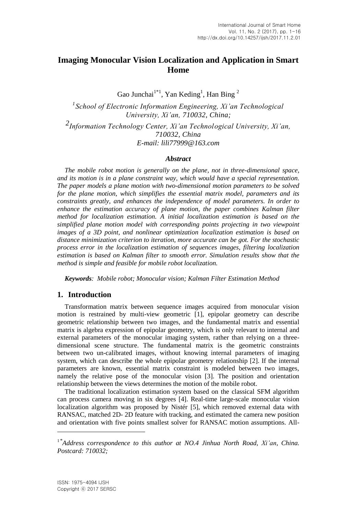# **Imaging Monocular Vision Localization and Application in Smart Home**

Gao Junchai<sup>1\*1</sup>, Yan Keding<sup>1</sup>, Han Bing<sup>2</sup>

*1 School of Electronic Information Engineering, Xi'an Technological University, Xi'an, 710032, China;*

*2 Information Technology Center, Xi'an Technological University, Xi'an, 710032, China E-mail: [lili77999@163.com](mailto:lili77999@163.com)*

## *Abstract*

*The mobile robot motion is generally on the plane, not in three-dimensional space, and its motion is in a plane constraint way, which would have a special representation. The paper models a plane motion with two-dimensional motion parameters to be solved for the plane motion, which simplifies the essential matrix model, parameters and its constraints greatly, and enhances the independence of model parameters. In order to enhance the estimation accuracy of plane motion, the paper combines Kalman filter method for localization estimation. A initial localization estimation is based on the simplified plane motion model with corresponding points projecting in two viewpoint images of a 3D point, and nonlinear optimization localization estimation is based on distance minimization criterion to iteration, more accurate can be got. For the stochastic process error in the localization estimation of sequences images, filtering localization estimation is based on Kalman filter to smooth error. Simulation results show that the method is simple and feasible for mobile robot localization.*

*Keywords: Mobile robot; Monocular vision; Kalman Filter Estimation Method*

# **1. Introduction**

Transformation matrix between sequence images acquired from monocular vision motion is restrained by multi-view geometric [1], epipolar geometry can describe geometric relationship between two images, and the fundamental matrix and essential matrix is algebra expression of epipolar geometry, which is only relevant to internal and external parameters of the monocular imaging system, rather than relying on a threedimensional scene structure. The fundamental matrix is the geometric constraints between two un-calibrated images, without knowing internal parameters of imaging system, which can describe the whole epipolar geometry relationship [2]. If the internal parameters are known, essential matrix constraint is modeled between two images, namely the relative pose of the monocular vision [3]. The position and orientation relationship between the views determines the motion of the mobile robot.

The traditional localization estimation system based on the classical SFM algorithm can process camera moving in six degrees [4]. Real-time large-scale monocular vision localization algorithm was proposed by Nistér [5], which removed external data with RANSAC, matched 2D- 2D feature with tracking, and estimated the camera new position and orientation with five points smallest solver for RANSAC motion assumptions. All-

 $\overline{a}$ 

<sup>&</sup>lt;sup>1</sup>\*Address correspondence to this author at NO.4 Jinhua North Road, Xi'an, China. *Postcard: 710032;*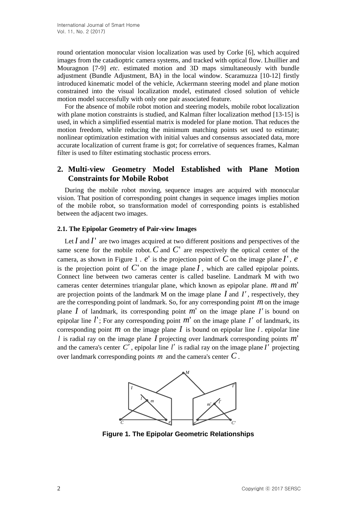round orientation monocular vision localization was used by Corke [6], which acquired images from the catadioptric camera systems, and tracked with optical flow. Lhuillier and Mouragnon [7-9] *etc*. estimated motion and 3D maps simultaneously with bundle adjustment (Bundle Adjustment, BA) in the local window. Scaramuzza [10-12] firstly introduced kinematic model of the vehicle, Ackermann steering model and plane motion constrained into the visual localization model, estimated closed solution of vehicle motion model successfully with only one pair associated feature.

For the absence of mobile robot motion and steering models, mobile robot localization with plane motion constraints is studied, and Kalman filter localization method [13-15] is used, in which a simplified essential matrix is modeled for plane motion. That reduces the motion freedom, while reducing the minimum matching points set used to estimate; nonlinear optimization estimation with initial values and consensus associated data, more accurate localization of current frame is got; for correlative of sequences frames, Kalman filter is used to filter estimating stochastic process errors.

# **2. Multi-view Geometry Model Established with Plane Motion Constraints for Mobile Robot**

During the mobile robot moving, sequence images are acquired with monocular vision. That position of corresponding point changes in sequence images implies motion of the mobile robot, so transformation model of corresponding points is established between the adjacent two images.

#### **2.1. The Epipolar Geometry of Pair-view Images**

Let  $I$  and  $I'$  are two images acquired at two different positions and perspectives of the same scene for the mobile robot.  $C$  and  $C'$  are respectively the optical center of the camera, as shown in Figure 1 .  $e'$  is the projection point of C on the image plane  $I'$ ,  $e$ is the projection point of  $C'$  on the image plane  $I$ , which are called epipolar points. Connect line between two cameras center is called baseline. Landmark M with two cameras center determines triangular plane, which known as epipolar plane. *m* and *m*' are projection points of the landmark  $M$  on the image plane  $I$  and  $I'$ , respectively, they are the corresponding point of landmark. So, for any corresponding point *m* on the image plane  $I$  of landmark, its corresponding point  $m'$  on the image plane  $I'$  is bound on epipolar line  $l'$ ; For any corresponding point  $m'$  on the image plane  $I'$  of landmark, its corresponding point  $m$  on the image plane  $I$  is bound on epipolar line  $l$ . epipolar line *l* is radial ray on the image plane *I* projecting over landmark corresponding points *m*' and the camera's center  $C'$ , epipolar line  $l'$  is radial ray on the image plane  $I'$  projecting over landmark corresponding points *m* and the camera's center *C* .



**Figure 1. The Epipolar Geometric Relationships**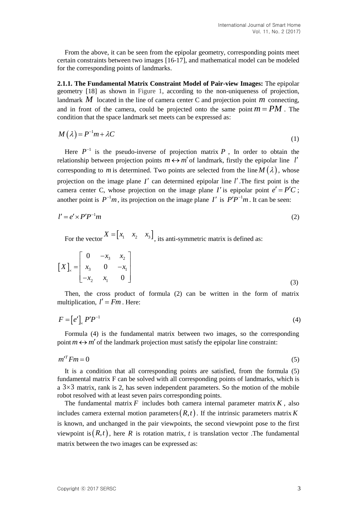From the above, it can be seen from the epipolar geometry, corresponding points meet certain constraints between two images [16-17], and mathematical model can be modeled for the corresponding points of landmarks.

**2.1.1. The Fundamental Matrix Constraint Model of Pair-view Images:** The epipolar geometry [18] as shown in Figure 1, according to the non-uniqueness of projection, landmark  $M$  located in the line of camera center C and projection point  $m$  connecting, and in front of the camera, could be projected onto the same point  $m = PM$ . The condition that the space landmark set meets can be expressed as:

$$
M(\lambda) = P^{-1}m + \lambda C \tag{1}
$$

Here  $P^{-1}$  is the pseudo-inverse of projection matrix P, In order to obtain the relationship between projection points  $m \leftrightarrow m'$  of landmark, firstly the epipolar line *l'* corresponding to *m* is determined. Two points are selected from the line  $M(\lambda)$ , whose projection on the image plane  $I'$  can determined epipolar line  $I'$ . The first point is the camera center C, whose projection on the image plane *I'* is epipolar point  $e' = P'C$ ; another point is  $P^{-1}m$ , its projection on the image plane I' is  $P'P^{-1}m$ . It can be seen:

$$
l' = e' \times P' P^{-1} m \tag{2}
$$

For the vector  $X = \begin{bmatrix} x_1 & x_2 & x_3 \end{bmatrix}$ , its anti-symmetric matrix is defined as:

$$
\begin{bmatrix} X \end{bmatrix}_{x} = \begin{bmatrix} 0 & -x_3 & x_2 \\ x_3 & 0 & -x_1 \\ -x_2 & x_1 & 0 \end{bmatrix}
$$
 (3)

Then, the cross product of formula (2) can be written in the form of matrix multiplication,  $l' = Fm$ . Here:

$$
F = \left[ e' \right]_{\times} P' P^{-1} \tag{4}
$$

Formula (4) is the fundamental matrix between two images, so the corresponding point  $m \leftrightarrow m'$  of the landmark projection must satisfy the epipolar line constraint:

$$
m^{\prime T}Fm = 0\tag{5}
$$

It is a condition that all corresponding points are satisfied, from the formula (5) fundamental matrix F can be solved with all corresponding points of landmarks, which is a  $3\times3$  matrix, rank is 2, has seven independent parameters. So the motion of the mobile robot resolved with at least seven pairs corresponding points.

The fundamental matrix  $F$  includes both camera internal parameter matrix  $K$ , also includes camera external motion parameters  $(R, t)$ . If the intrinsic parameters matrix K is known, and unchanged in the pair viewpoints, the second viewpoint pose to the first viewpoint is  $(R, t)$ , here R is rotation matrix, t is translation vector. The fundamental matrix between the two images can be expressed as: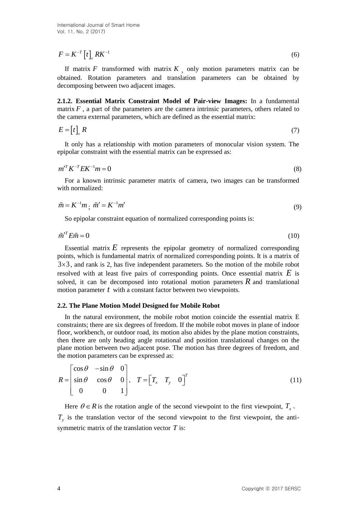$$
F = K^{-T} \left[ t \right]_{\times} R K^{-1} \tag{6}
$$

If matrix  $F$  transformed with matrix  $K$ , only motion parameters matrix can be obtained. Rotation parameters and translation parameters can be obtained by decomposing between two adjacent images.

**2.1.2. Essential Matrix Constraint Model of Pair-view Images:** In a fundamental matrix  $F$ , a part of the parameters are the camera intrinsic parameters, others related to the camera external parameters, which are defined as the essential matrix:

$$
E = [t]_X R \tag{7}
$$

It only has a relationship with motion parameters of monocular vision system. The epipolar constraint with the essential matrix can be expressed as:

$$
m^{\prime T} K^{-T} E K^{-1} m = 0 \tag{8}
$$

For a known intrinsic parameter matrix of camera, two images can be transformed with normalized:

$$
\tilde{m} = K^{-1}m \, ; \, \tilde{m}' = K^{-1}m' \tag{9}
$$

So epipolar constraint equation of normalized corresponding points is:

$$
\tilde{m}^{\prime T} E \tilde{m} = 0 \tag{10}
$$

 $F = K^{-1} [t]_+ RK^+$ <br>
If marity *F* measurement with matrix *K*, only motion parameters, matrix columnical, Romaton parameters and translation parameters can be obtained by<br>
decomposing between two calgests illense of the com Essential matrix  $E$  represents the epipolar geometry of normalized corresponding points, which is fundamental matrix of normalized corresponding points. It is a matrix of  $3 \times 3$ , and rank is 2, has five independent parameters. So the motion of the mobile robot resolved with at least five pairs of corresponding points. Once essential matrix  $E$  is solved, it can be decomposed into rotational motion parameters  $R$  and translational motion parameter t with a constant factor between two viewpoints.

#### **2.2. The Plane Motion Model Designed for Mobile Robot**

In the natural environment, the mobile robot motion coincide the essential matrix E constraints; there are six degrees of freedom. If the mobile robot moves in plane of indoor floor, workbench, or outdoor road, its motion also abides by the plane motion constraints, then there are only heading angle rotational and position translational changes on the plane motion between two adjacent pose. The motion has three degrees of freedom, and the motion parameters can be expressed as:

$$
R = \begin{bmatrix} \cos \theta & -\sin \theta & 0 \\ \sin \theta & \cos \theta & 0 \\ 0 & 0 & 1 \end{bmatrix}, \quad T = \begin{bmatrix} T_x & T_y & 0 \end{bmatrix}^T \tag{11}
$$

Here  $\theta \in R$  is the rotation angle of the second viewpoint to the first viewpoint,  $T_{\text{x}}$ .  $T<sub>y</sub>$  is the translation vector of the second viewpoint to the first viewpoint, the antisymmetric matrix of the translation vector *T* is: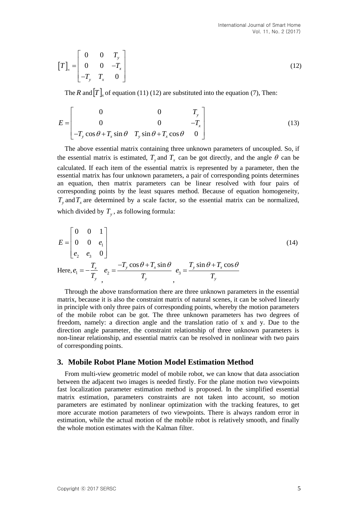$$
\begin{bmatrix} T \end{bmatrix}_{x} = \begin{bmatrix} 0 & 0 & T_{y} \\ 0 & 0 & -T_{x} \\ -T_{y} & T_{x} & 0 \end{bmatrix}
$$
 (12)

The *R* and  $[T]_x$  of equation (11) (12) are substituted into the equation (7), Then:

$$
E = \begin{bmatrix} 0 & 0 & T_y \\ 0 & 0 & -T_x \\ -T_y \cos \theta + T_x \sin \theta & T_y \sin \theta + T_x \cos \theta & 0 \end{bmatrix}
$$
(13)

The above essential matrix containing three unknown parameters of uncoupled. So, if the essential matrix is estimated,  $T_y$  and  $T_x$  can be got directly, and the angle  $\theta$  can be calculated. If each item of the essential matrix is represented by a parameter, then the essential matrix has four unknown parameters, a pair of corresponding points determines an equation, then matrix parameters can be linear resolved with four pairs of corresponding points by the least squares method. Because of equation homogeneity,  $T<sub>y</sub>$  and  $T<sub>x</sub>$  are determined by a scale factor, so the essential matrix can be normalized,

which divided by  $T<sub>y</sub>$ , as following formula:

$$
E = \begin{bmatrix} 0 & 0 & 1 \\ 0 & 0 & e_1 \\ e_2 & e_3 & 0 \end{bmatrix}
$$
  
\nHere,  $e_1 = -\frac{T_x}{T_y} e_2 = \frac{-T_y \cos \theta + T_x \sin \theta}{T_y} e_3 = \frac{T_y \sin \theta + T_x \cos \theta}{T_y}$  (14)

Through the above transformation there are three unknown parameters in the essential matrix, because it is also the constraint matrix of natural scenes, it can be solved linearly in principle with only three pairs of corresponding points, whereby the motion parameters of the mobile robot can be got. The three unknown parameters has two degrees of freedom, namely: a direction angle and the translation ratio of x and y. Due to the direction angle parameter, the constraint relationship of three unknown parameters is non-linear relationship, and essential matrix can be resolved in nonlinear with two pairs of corresponding points.

#### **3. Mobile Robot Plane Motion Model Estimation Method**

From multi-view geometric model of mobile robot, we can know that data association between the adjacent two images is needed firstly. For the plane motion two viewpoints fast localization parameter estimation method is proposed. In the simplified essential matrix estimation, parameters constraints are not taken into account, so motion parameters are estimated by nonlinear optimization with the tracking features, to get more accurate motion parameters of two viewpoints. There is always random error in estimation, while the actual motion of the mobile robot is relatively smooth, and finally the whole motion estimates with the Kalman filter.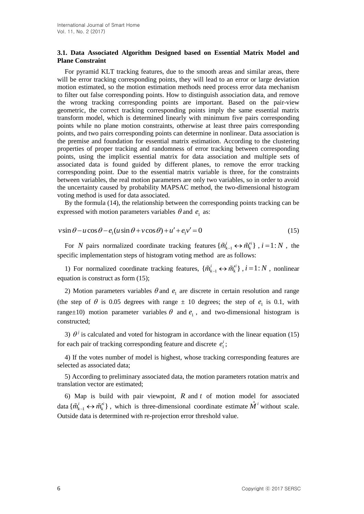## **3.1. Data Associated Algorithm Designed based on Essential Matrix Model and Plane Constraint**

For pyramid KLT tracking features, due to the smooth areas and similar areas, there will be error tracking corresponding points, they will lead to an error or large deviation motion estimated, so the motion estimation methods need process error data mechanism to filter out false corresponding points. How to distinguish association data, and remove the wrong tracking corresponding points are important. Based on the pair-view geometric, the correct tracking corresponding points imply the same essential matrix transform model, which is determined linearly with minimum five pairs corresponding points while no plane motion constraints, otherwise at least three pairs corresponding points, and two pairs corresponding points can determine in nonlinear. Data association is the premise and foundation for essential matrix estimation. According to the clustering properties of proper tracking and randomness of error tracking between corresponding points, using the implicit essential matrix for data association and multiple sets of associated data is found guided by different planes, to remove the error tracking corresponding point. Due to the essential matrix variable is three, for the constraints between variables, the real motion parameters are only two variables, so in order to avoid the uncertainty caused by probability MAPSAC method, the two-dimensional histogram voting method is used for data associated.

By the formula (14), the relationship between the corresponding points tracking can be expressed with motion parameters variables  $\theta$  and  $e_1$  as:

expressed with motion parameters variables 
$$
\theta
$$
 and  $e_1$  as:  
\n
$$
v \sin \theta - u \cos \theta - e_1(u \sin \theta + v \cos \theta) + u' + e_1 v' = 0
$$
\n(15)

For N pairs normalized coordinate tracking features  $\{\tilde{m}_{k-1}^i \leftrightarrow \tilde{m}_k^{i'}\}$ ,  $i = 1 : N$ , the specific implementation steps of histogram voting method are as follows:

1) For normalized coordinate tracking features,  $\{\tilde{m}_{k-1}^i \leftrightarrow \tilde{m}_k^{i'}\}$ ,  $i = 1:N$ , nonlinear equation is construct as form (15);

2) Motion parameters variables  $\theta$  and  $e_1$  are discrete in certain resolution and range (the step of  $\theta$  is 0.05 degrees with range  $\pm$  10 degrees; the step of  $e_1$  is 0.1, with range $\pm 10$ ) motion parameter variables  $\theta$  and  $e_1$ , and two-dimensional histogram is constructed;

3)  $\theta^j$  is calculated and voted for histogram in accordance with the linear equation (15) for each pair of tracking corresponding feature and discrete  $e_1$ <sup>1</sup>  $e_1^i$ ;

4) If the votes number of model is highest, whose tracking corresponding features are selected as associated data;

5) According to preliminary associated data, the motion parameters rotation matrix and translation vector are estimated;

6) Map is build with pair viewpoint,  $R$  and  $t$  of motion model for associated data  $\{\tilde{m}_{k-1}^i \leftrightarrow \tilde{m}_k^{i}\}\$ , which is three-dimensional coordinate estimate  $\hat{M}^i$  without scale. Outside data is determined with re-projection error threshold value.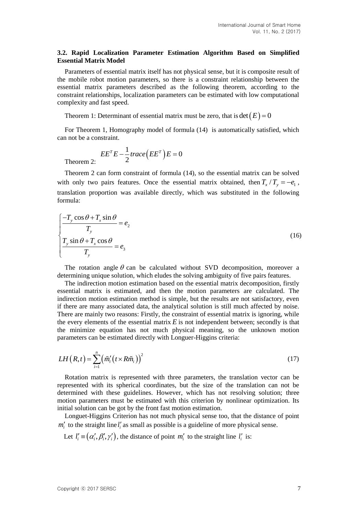### **3.2. Rapid Localization Parameter Estimation Algorithm Based on Simplified Essential Matrix Model**

Parameters of essential matrix itself has not physical sense, but it is composite result of the mobile robot motion parameters, so there is a constraint relationship between the essential matrix parameters described as the following theorem, according to the constraint relationships, localization parameters can be estimated with low computational complexity and fast speed.

Theorem 1: Determinant of essential matrix must be zero, that is  $det(E) = 0$ 

For Theorem 1, Homography model of formula (14) is automatically satisfied, which can not be a constraint.

$$
EETE - \frac{1}{2}trace(EET)E = 0
$$

Theorem 2:

Theorem 2 can form constraint of formula (14), so the essential matrix can be solved with only two pairs features. Once the essential matrix obtained, then  $T_x / T_y = -e_1$ , translation proportion was available directly, which was substituted in the following formula:

$$
\begin{cases}\n-T_y \cos \theta + T_x \sin \theta \\
T_y \\
T_y \sin \theta + T_x \cos \theta \\
T_y\n\end{cases} = e_3
$$
\n(16)

The rotation angle  $\theta$  can be calculated without SVD decomposition, moreover a determining unique solution, which eludes the solving ambiguity of five pairs features.

The indirection motion estimation based on the essential matrix decomposition, firstly essential matrix is estimated, and then the motion parameters are calculated. The indirection motion estimation method is simple, but the results are not satisfactory, even if there are many associated data, the analytical solution is still much affected by noise. There are mainly two reasons: Firstly, the constraint of essential matrix is ignoring, while the every elements of the essential matrix  $E$  is not independent between; secondly is that the minimize equation has not much physical meaning, so the unknown motion parameters can be estimated directly with Longuer-Higgins criteria:

$$
LH\left(R,t\right) = \sum_{i=1}^{n} \left(\tilde{m}'_i \left(t \times R\tilde{m}_i\right)\right)^2 \tag{17}
$$

Rotation matrix is represented with three parameters, the translation vector can be represented with its spherical coordinates, but the size of the translation can not be determined with these guidelines. However, which has not resolving solution; three motion parameters must be estimated with this criterion by nonlinear optimization. Its initial solution can be got by the front fast motion estimation.

Longuet-Higgins Criterion has not much physical sense too, that the distance of point  $m_i'$  to the straight line  $l_i'$  as small as possible is a guideline of more physical sense.

Let  $l'_i \equiv (\alpha'_i, \beta'_i, \gamma'_i)$ , the distance of point  $m'_i$  to the straight line  $l'_i$  is: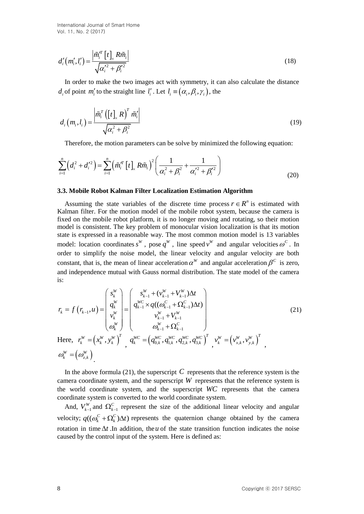International Journal of Smart Home Vol. 11, No. 2 (2017)

$$
d'_{i}(m'_{i},l'_{i}) = \frac{\left|\tilde{m}^{T}_{i}\left[t\right]_{\times}R\tilde{m}_{i}\right|}{\sqrt{{\alpha'_{i}}^{2}+{\beta'_{i}}^{2}}}
$$
\n(18)

In order to make the two images act with symmetry, it can also calculate the distance  $d_i$  of point  $m'_i$  to the straight line  $l'_i$ . Let  $l_i \equiv (\alpha_i, \beta_i, \gamma_i)$ , the

$$
d_i(m_i, l_i) = \frac{\left|\tilde{m}_i^T\left(\left[t\right]_{\times}R\right)^T \tilde{m}_i'\right|}{\sqrt{\alpha_i^2 + \beta_i^2}}
$$
\n(19)

Therefore, the motion parameters can be solve by minimized the following equation:  
\n
$$
\sum_{i=1}^{n} (d_i^2 + d_i'^2) = \sum_{i=1}^{n} (\tilde{m}_i'^T [t]_x R \tilde{m}_i)^2 \left( \frac{1}{\alpha_i^2 + \beta_i^2} + \frac{1}{\alpha_i'^2 + \beta_i'^2} \right)
$$
\n(20)

#### **3.3. Mobile Robot Kalman Filter Localization Estimation Algorithm**

d'(m',t') =  $\frac{1}{\sqrt{a_s^2 + \rho_s^{2}}}$  (13)<br>
In order to make the two images act with symmetry, it can also calculate the distance<br>
d', of point  $m'_i$  to the stangila line  $l'_i$ . Let  $l_i = (a_i, \beta_i, \gamma_i)$ , the<br>  $d_i$  of point  $m'_i$ Assuming the state variables of the discrete time process  $r \in R^n$  is estimated with Kalman filter. For the motion model of the mobile robot system, because the camera is fixed on the mobile robot platform, it is no longer moving and rotating, so their motion model is consistent. The key problem of monocular vision localization is that its motion state is expressed in a reasonable way. The most common motion model is 13 variables model: location coordinates  $s^W$ , pose  $q^W$ , line speed  $v^W$  and angular velocities  $\omega^C$ . In order to simplify the noise model, the linear velocity and angular velocity are both constant, that is, the mean of linear acceleration  $\alpha^W$  and angular acceleration  $\beta^C$  is zero, and independence mutual with Gauss normal distribution. The state model of the camera is:

is:  
\nis:  
\n
$$
r_{k} = f(r_{k-1}, u) = \begin{pmatrix} s_{k}^{W} \\ q_{k}^{W} \\ v_{k}^{W} \\ \omega_{k}^{W} \end{pmatrix} = \begin{pmatrix} s_{k-1}^{W} + (v_{k-1}^{W} + V_{k-1}^{W}) \Delta t \\ q_{k-1}^{W} \times q((\omega_{k-1}^{C} + \Omega_{k-1}^{C}) \Delta t) \\ v_{k-1}^{W} + V_{k-1}^{W} \\ \omega_{k}^{W} + \Omega_{k-1}^{C} \end{pmatrix}
$$
\n(21)  
\nHere,  $r_{k}^{W} = (x_{k}^{W}, y_{k}^{W})^{T}$ ,  $q_{k}^{WC} = (q_{0,k}^{WC}, q_{1,k}^{WC}, q_{2,k}^{WC}, q_{3,k}^{WC})^{T}$ ,  $v_{k}^{W} = (v_{x,k}^{W}, v_{y,k}^{W})^{T}$ ,  
\n $\omega_{k}^{W} = (\omega_{z,k}^{W})$ .

In the above formula  $(21)$ , the superscript C represents that the reference system is the camera coordinate system, and the superscript  $W$  represents that the reference system is the world coordinate system, and the superscript *WC* represents that the camera coordinate system is converted to the world coordinate system.

And,  $V_{k-1}^W$  and  $\Omega_{k-1}^C$  represent the size of the additional linear velocity and angular velocity;  $q((\omega_k^C + \Omega_k^C)\Delta t)$  represents the quaternion change obtained by the camera rotation in time  $\Delta t$ . In addition, the *u* of the state transition function indicates the noise caused by the control input of the system. Here is defined as: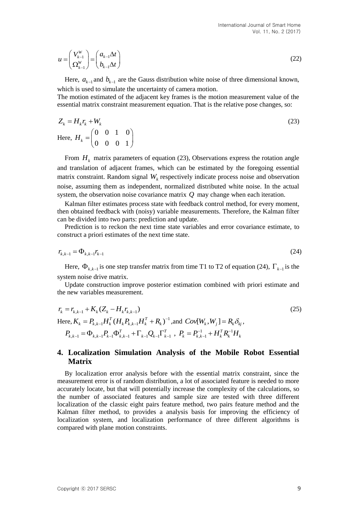$$
u = \begin{pmatrix} V_{k-1}^W \\ \Omega_{k-1}^W \end{pmatrix} = \begin{pmatrix} a_{k-1} \Delta t \\ b_{k-1} \Delta t \end{pmatrix}
$$
 (22)

Here,  $a_{k-1}$  and  $b_{k-1}$  are the Gauss distribution white noise of three dimensional known, which is used to simulate the uncertainty of camera motion.

The motion estimated of the adjacent key frames is the motion measurement value of the essential matrix constraint measurement equation. That is the relative pose changes, so:

$$
Z_k = H_k r_k + W_k
$$
  
Here, 
$$
H_k = \begin{pmatrix} 0 & 0 & 1 & 0 \\ 0 & 0 & 0 & 1 \end{pmatrix}
$$
 (23)

From  $H_k$  matrix parameters of equation (23), Observations express the rotation angle and translation of adjacent frames, which can be estimated by the foregoing essential matrix constraint. Random signal  $W_k$  respectively indicate process noise and observation noise, assuming them as independent, normalized distributed white noise. In the actual system, the observation noise covariance matrix *Q* may change when each iteration.

Kalman filter estimates process state with feedback control method, for every moment, then obtained feedback with (noisy) variable measurements. Therefore, the Kalman filter can be divided into two parts: prediction and update.

Prediction is to reckon the next time state variables and error covariance estimate, to construct a priori estimates of the next time state.

$$
r_{k,k-1} = \Phi_{k,k-1} r_{k-1}
$$
 (24)

Here,  $\Phi_{k,k-1}$  is one step transfer matrix from time T1 to T2 of equation (24),  $\Gamma_{k-1}$  is the system noise drive matrix.

Update construction improve posterior estimation combined with priori estimate and the new variables measurement.

$$
r_{k} = r_{k,k-1} + K_{k}(Z_{k} - H_{k}r_{k,k-1})
$$
\n(25)  
\nHere,  $K_{k} = P_{k,k-1}H_{k}^{T}(H_{k}P_{k,k-1}H_{k}^{T} + R_{k})^{-1}$ , and  $Cov[W_{k}, W_{j}] = R_{k}\delta_{kj}$ ,  
\n $P_{k,k-1} = \Phi_{k,k-1}P_{k-1}\Phi_{k,k-1}^{T} + \Gamma_{k-1}Q_{k-1}\Gamma_{k-1}^{T}$ ,  $P_{k} = P_{k,k-1}^{-1} + H_{k}^{T}R_{k}^{-1}H_{k}$ 

## **4. Localization Simulation Analysis of the Mobile Robot Essential Matrix**

By localization error analysis before with the essential matrix constraint, since the measurement error is of random distribution, a lot of associated feature is needed to more accurately locate, but that will potentially increase the complexity of the calculations, so the number of associated features and sample size are tested with three different localization of the classic eight pairs feature method, two pairs feature method and the Kalman filter method, to provides a analysis basis for improving the efficiency of localization system, and localization performance of three different algorithms is compared with plane motion constraints.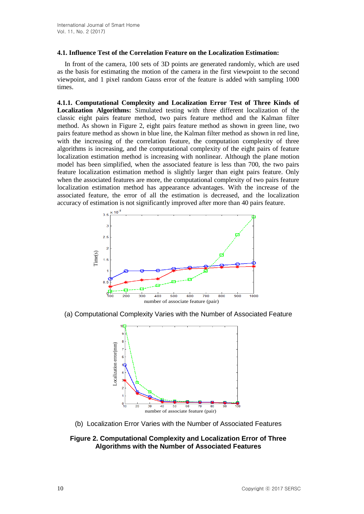## **4.1. Influence Test of the Correlation Feature on the Localization Estimation:**

In front of the camera, 100 sets of 3D points are generated randomly, which are used as the basis for estimating the motion of the camera in the first viewpoint to the second viewpoint, and 1 pixel random Gauss error of the feature is added with sampling 1000 times.

**4.1.1. Computational Complexity and Localization Error Test of Three Kinds of Localization Algorithms:** Simulated testing with three different localization of the classic eight pairs feature method, two pairs feature method and the Kalman filter method. As shown in Figure 2, eight pairs feature method as shown in green line, two pairs feature method as shown in blue line, the Kalman filter method as shown in red line, with the increasing of the correlation feature, the computation complexity of three algorithms is increasing, and the computational complexity of the eight pairs of feature localization estimation method is increasing with nonlinear. Although the plane motion model has been simplified, when the associated feature is less than 700, the two pairs feature localization estimation method is slightly larger than eight pairs feature. Only when the associated features are more, the computational complexity of two pairs feature localization estimation method has appearance advantages. With the increase of the associated feature, the error of all the estimation is decreased, and the localization accuracy of estimation is not significantly improved after more than 40 pairs feature.



(a) Computational Complexity Varies with the Number of Associated Feature



(b) Localization Error Varies with the Number of Associated Features

# **Figure 2. Computational Complexity and Localization Error of Three Algorithms with the Number of Associated Features**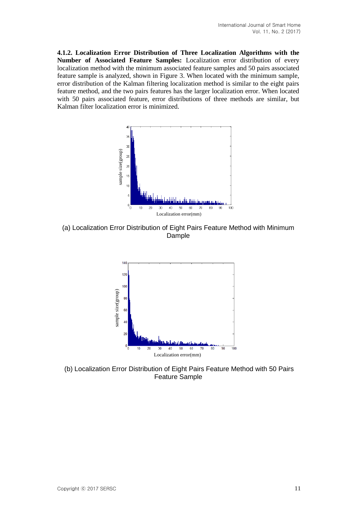**4.1.2. Localization Error Distribution of Three Localization Algorithms with the Number of Associated Feature Samples:** Localization error distribution of every localization method with the minimum associated feature samples and 50 pairs associated feature sample is analyzed, shown in Figure 3. When located with the minimum sample, error distribution of the Kalman filtering localization method is similar to the eight pairs feature method, and the two pairs features has the larger localization error. When located with 50 pairs associated feature, error distributions of three methods are similar, but Kalman filter localization error is minimized.



(a) Localization Error Distribution of Eight Pairs Feature Method with Minimum Dample



(b) Localization Error Distribution of Eight Pairs Feature Method with 50 Pairs Feature Sample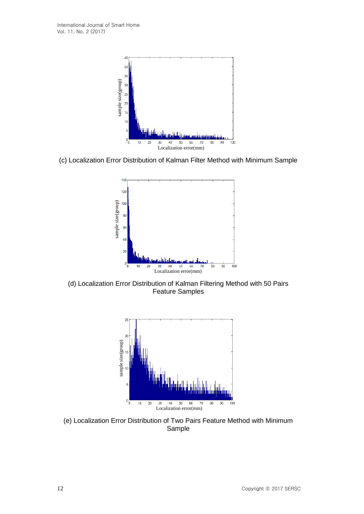

(c) Localization Error Distribution of Kalman Filter Method with Minimum Sample



(d) Localization Error Distribution of Kalman Filtering Method with 50 Pairs Feature Samples



(e) Localization Error Distribution of Two Pairs Feature Method with Minimum Sample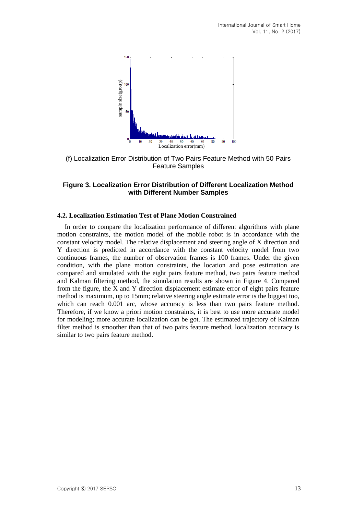

(f) Localization Error Distribution of Two Pairs Feature Method with 50 Pairs Feature Samples

## **Figure 3. Localization Error Distribution of Different Localization Method with Different Number Samples**

### **4.2. Localization Estimation Test of Plane Motion Constrained**

In order to compare the localization performance of different algorithms with plane motion constraints, the motion model of the mobile robot is in accordance with the constant velocity model. The relative displacement and steering angle of X direction and Y direction is predicted in accordance with the constant velocity model from two continuous frames, the number of observation frames is 100 frames. Under the given condition, with the plane motion constraints, the location and pose estimation are compared and simulated with the eight pairs feature method, two pairs feature method and Kalman filtering method, the simulation results are shown in Figure 4. Compared from the figure, the X and Y direction displacement estimate error of eight pairs feature method is maximum, up to 15mm; relative steering angle estimate error is the biggest too, which can reach 0.001 arc, whose accuracy is less than two pairs feature method. Therefore, if we know a priori motion constraints, it is best to use more accurate model for modeling; more accurate localization can be got. The estimated trajectory of Kalman filter method is smoother than that of two pairs feature method, localization accuracy is similar to two pairs feature method.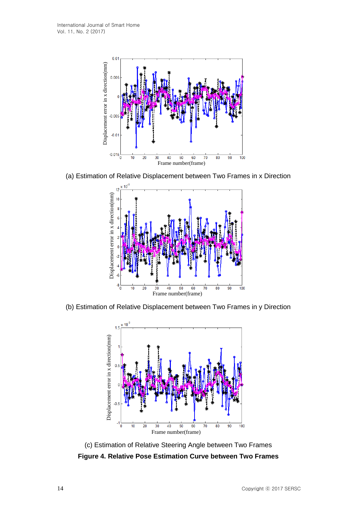

(a) Estimation of Relative Displacement between Two Frames in x Direction



(b) Estimation of Relative Displacement between Two Frames in y Direction



(c) Estimation of Relative Steering Angle between Two Frames **Figure 4. Relative Pose Estimation Curve between Two Frames**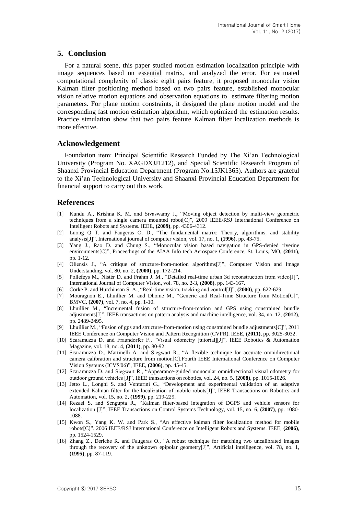# **5. Conclusion**

For a natural scene, this paper studied motion estimation localization principle with image sequences based on essential matrix, and analyzed the error. For estimated computational complexity of classic eight pairs feature, it proposed monocular vision Kalman filter positioning method based on two pairs feature, established monocular vision relative motion equations and observation equations to estimate filtering motion parameters. For plane motion constraints, it designed the plane motion model and the corresponding fast motion estimation algorithm, which optimized the estimation results. Practice simulation show that two pairs feature Kalman filter localization methods is more effective.

### **Acknowledgement**

Foundation item: Principal Scientific Research Funded by The Xi'an Technological University (Program No. XAGDXJJ1212), and Special Scientific Research Program of Shaanxi Provincial Education Department (Program No.15JK1365). Authors are grateful to the Xi'an Technological University and Shaanxi Provincial Education Department for financial support to carry out this work.

## **References**

- [1] Kundu A., Krishna K. M. and Sivaswamy J., "Moving object detection by multi-view geometric techniques from a single camera mounted robot[C]", 2009 IEEE/RSJ International Conference on Intelligent Robots and Systems. IEEE, **(2009)**, pp. 4306-4312.
- [2] Luong Q T. and Faugeras O. D., "The fundamental matrix: Theory, algorithms, and stability analysis[J]", International journal of computer vision, vol. 17, no. 1, **(1996)**, pp. 43-75.
- [3] Yang J., Rao D. and Chung S., "Monocular vision based navigation in GPS-denied riverine environments[C]", Proceedings of the AIAA Info tech Aerospace Conference, St. Louis, MO, **(2011)**, pp. 1-12.
- [4] Oliensis J., "A critique of structure-from-motion algorithms[J]", Computer Vision and Image Understanding, vol. 80, no. 2, **(2000)**, pp. 172-214.
- [5] Pollefeys M., Nistér D. and Frahm J. M., "Detailed real-time urban 3d reconstruction from video[J]", International Journal of Computer Vision, vol. 78, no. 2-3, **(2008)**, pp. 143-167.
- [6] Corke P. and Hutchinson S. A., "Real-time vision, tracking and control[J]", **(2000)**, pp. 622-629.
- [7] Mouragnon E., Lhuillier M. and Dhome M., "Generic and Real-Time Structure from Motion[C]", BMVC, **(2007)**, vol. 7, no. 4, pp. 1-10.
- [8] Lhuillier M., "Incremental fusion of structure-from-motion and GPS using constrained bundle adjustments[J]", IEEE transactions on pattern analysis and machine intelligence, vol. 34, no. 12, **(2012)**, pp. 2489-2495.
- [9] Lhuillier M., "Fusion of gps and structure-from-motion using constrained bundle adjustments[C]", 2011 IEEE Conference on Computer Vision and Pattern Recognition (CVPR). IEEE, **(2011)**, pp. 3025-3032.
- [10] Scaramuzza D. and Fraundorfer F., "Visual odometry [tutorial][J]", IEEE Robotics & Automation Magazine, vol. 18, no. 4, **(2011)**, pp. 80-92.
- [11] Scaramuzza D., Martinelli A. and Siegwart R., "A flexible technique for accurate omnidirectional camera calibration and structure from motion[C].Fourth IEEE International Conference on Computer Vision Systems (ICVS'06)", IEEE, **(2006)**, pp. 45-45.
- [12] Scaramuzza D. and Siegwart R., "Appearance-guided monocular omnidirectional visual odometry for outdoor ground vehicles [J]", IEEE transactions on robotics, vol. 24, no. 5, **(2008)**, pp. 1015-1026.
- [13] Jetto L., Longhi S. and Venturini G., "Development and experimental validation of an adaptive extended Kalman filter for the localization of mobile robots[J]", IEEE Transactions on Robotics and Automation, vol. 15, no. 2, **(1999)**, pp. 219-229.
- [14] Rezaei S. and Sengupta R., "Kalman filter-based integration of DGPS and vehicle sensors for localization [J]", IEEE Transactions on Control Systems Technology, vol. 15, no. 6, **(2007)**, pp. 1080- 1088.
- [15] Kwon S., Yang K. W. and Park S., "An effective kalman filter localization method for mobile robots[C]", 2006 IEEE/RSJ International Conference on Intelligent Robots and Systems. IEEE, **(2006)**, pp. 1524-1529.
- [16] Zhang Z., Deriche R. and Faugeras O., "A robust technique for matching two uncalibrated images through the recovery of the unknown epipolar geometry[J]", Artificial intelligence, vol. 78, no. 1, **(1995)**, pp. 87-119.